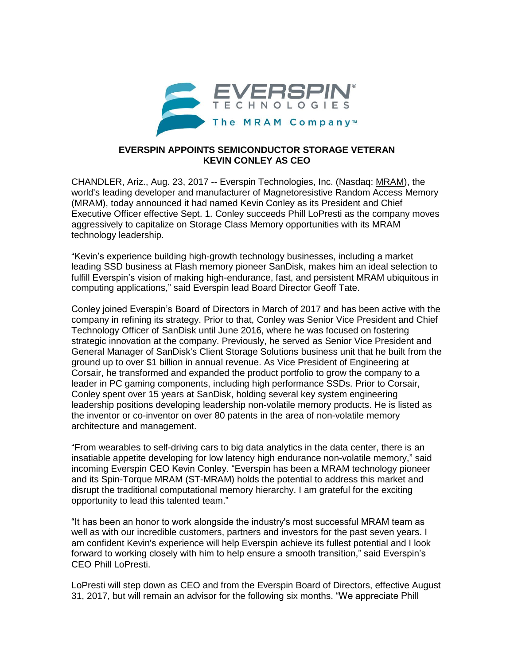

## **EVERSPIN APPOINTS SEMICONDUCTOR STORAGE VETERAN KEVIN CONLEY AS CEO**

CHANDLER, Ariz., Aug. 23, 2017 -- Everspin Technologies, Inc. (Nasdaq: [MRAM\)](http://www.nasdaq.com/symbol/mram), the world's leading developer and manufacturer of Magnetoresistive Random Access Memory (MRAM), today announced it had named Kevin Conley as its President and Chief Executive Officer effective Sept. 1. Conley succeeds Phill LoPresti as the company moves aggressively to capitalize on Storage Class Memory opportunities with its MRAM technology leadership.

"Kevin's experience building high-growth technology businesses, including a market leading SSD business at Flash memory pioneer SanDisk, makes him an ideal selection to fulfill Everspin's vision of making high-endurance, fast, and persistent MRAM ubiquitous in computing applications," said Everspin lead Board Director Geoff Tate.

Conley joined Everspin's Board of Directors in March of 2017 and has been active with the company in refining its strategy. Prior to that, Conley was Senior Vice President and Chief Technology Officer of SanDisk until June 2016, where he was focused on fostering strategic innovation at the company. Previously, he served as Senior Vice President and General Manager of SanDisk's Client Storage Solutions business unit that he built from the ground up to over \$1 billion in annual revenue. As Vice President of Engineering at Corsair, he transformed and expanded the product portfolio to grow the company to a leader in PC gaming components, including high performance SSDs. Prior to Corsair, Conley spent over 15 years at SanDisk, holding several key system engineering leadership positions developing leadership non-volatile memory products. He is listed as the inventor or co-inventor on over 80 patents in the area of non-volatile memory architecture and management.

"From wearables to self-driving cars to big data analytics in the data center, there is an insatiable appetite developing for low latency high endurance non-volatile memory," said incoming Everspin CEO Kevin Conley. "Everspin has been a MRAM technology pioneer and its Spin-Torque MRAM (ST-MRAM) holds the potential to address this market and disrupt the traditional computational memory hierarchy. I am grateful for the exciting opportunity to lead this talented team."

"It has been an honor to work alongside the industry's most successful MRAM team as well as with our incredible customers, partners and investors for the past seven years. I am confident Kevin's experience will help Everspin achieve its fullest potential and I look forward to working closely with him to help ensure a smooth transition," said Everspin's CEO Phill LoPresti.

LoPresti will step down as CEO and from the Everspin Board of Directors, effective August 31, 2017, but will remain an advisor for the following six months. "We appreciate Phill